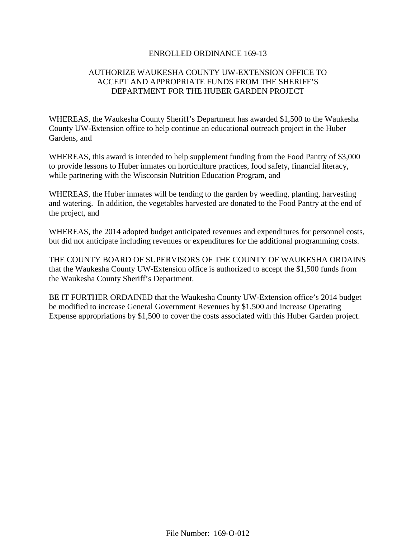## ENROLLED ORDINANCE 169-13

## AUTHORIZE WAUKESHA COUNTY UW-EXTENSION OFFICE TO ACCEPT AND APPROPRIATE FUNDS FROM THE SHERIFF'S DEPARTMENT FOR THE HUBER GARDEN PROJECT

WHEREAS, the Waukesha County Sheriff's Department has awarded \$1,500 to the Waukesha County UW-Extension office to help continue an educational outreach project in the Huber Gardens, and

WHEREAS, this award is intended to help supplement funding from the Food Pantry of \$3,000 to provide lessons to Huber inmates on horticulture practices, food safety, financial literacy, while partnering with the Wisconsin Nutrition Education Program, and

WHEREAS, the Huber inmates will be tending to the garden by weeding, planting, harvesting and watering. In addition, the vegetables harvested are donated to the Food Pantry at the end of the project, and

WHEREAS, the 2014 adopted budget anticipated revenues and expenditures for personnel costs, but did not anticipate including revenues or expenditures for the additional programming costs.

THE COUNTY BOARD OF SUPERVISORS OF THE COUNTY OF WAUKESHA ORDAINS that the Waukesha County UW-Extension office is authorized to accept the \$1,500 funds from the Waukesha County Sheriff's Department.

BE IT FURTHER ORDAINED that the Waukesha County UW-Extension office's 2014 budget be modified to increase General Government Revenues by \$1,500 and increase Operating Expense appropriations by \$1,500 to cover the costs associated with this Huber Garden project.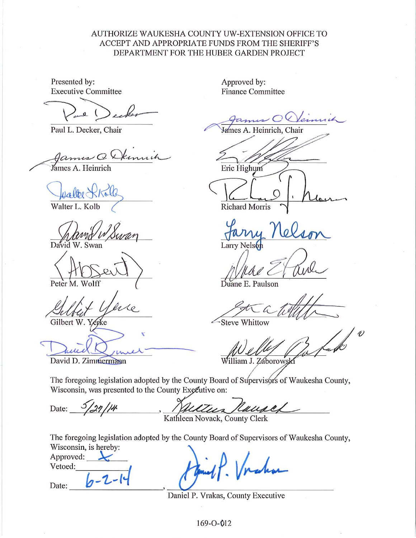## AUTHORIZE WAUKESHA COUNTY UW-EXTENSION OFFICE TO ACCEPT AND APPROPRIATE FUNDS FROM THE SHERIFF'S DEPARTMENT FOR THE HUBER GARDEN PROJECT

Presented by: **Executive Committee** 

 $\mathcal{L}$  $\overline{a}$ 

Paul L. Decker, Chair

Hammer Q.X James A. Heinrich

Walter L. Kolb

 $\mathbf{D}$ Swan

Peter M. Wolff

Gilbert W.Y. erke

David D. Zimmermann

 $3/27/14$ 

Approved by: **Finance Committee** 

James A. Heinrich, Chair Eric Highum

Richard Morris

Larry Nelso

Duane E. Paulson

Steve Whittow

 $\overline{\mathscr{O}}$ William J. Záborowsl

The foregoing legislation adopted by the County Board of Supervisors of Waukesha County, Wisconsin, was presented to the County Executive on:

Kause illes

Kathleen Novack, County Clerk

The foregoing legislation adopted by the County Board of Supervisors of Waukesha County, Wisconsin, is hereby:

Approved: Vetoed:

Date:

Date:

Daniel P. Vrakas, County Executive

169-0-012